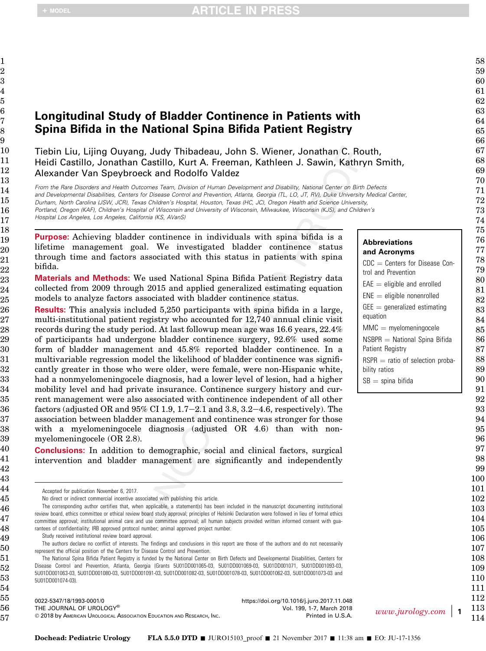## Longitudinal Study of Bladder Continence in Patients with Spina Bifida in the National Spina Bifida Patient Registry

Tiebin Liu, Lijing Ouyang, Judy Thibadeau, John S. Wiener, Jonathan C. Routh, Heidi Castillo, Jonathan Castillo, Kurt A. Freeman, Kathleen J. Sawin, Kathryn Smith, Alexander Van Speybroeck and Rodolfo Valdez

From the Rare Disorders and Health Outcomes Team, Division of Human Development and Disability, National Center on Birth Defects and Developmental Disabilities, Centers for Disease Control and Prevention, Atlanta, Georgia (TL, LO, JT, RV), Duke University Medical Center, Durham, North Carolina (JSW, JCR), Texas Children's Hospital, Houston, Texas (HC, JC), Oregon Health and Science University, Portland, Oregon (KAF), Children's Hospital of Wisconsin and University of Wisconsin, Milwaukee, Wisconsin (KJS), and Children's

Hospital Los Angeles, Los Angeles, California (KS, AVanS)

Purpose: Achieving bladder continence in individuals with spina bifida is a lifetime management goal. We investigated bladder continence status through time and factors associated with this status in patients with spina bifida.

Materials and Methods: We used National Spina Bifida Patient Registry data collected from 2009 through 2015 and applied generalized estimating equation models to analyze factors associated with bladder continence status.

Results: This analysis included 5,250 participants with spina bifida in a large, multi-institutional patient registry who accounted for 12,740 annual clinic visit records during the study period. At last followup mean age was 16.6 years, 22.4% of participants had undergone bladder continence surgery, 92.6% used some form of bladder management and 45.8% reported bladder continence. In a multivariable regression model the likelihood of bladder continence was significantly greater in those who were older, were female, were non-Hispanic white, had a nonmyelomeningocele diagnosis, had a lower level of lesion, had a higher mobility level and had private insurance. Continence surgery history and current management were also associated with continence independent of all other factors (adjusted OR and  $95\%$  CI 1.9, 1.7–2.1 and 3.8, 3.2–4.6, respectively). The association between bladder management and continence was stronger for those with a myelomeningocele diagnosis (adjusted OR 4.6) than with nonmyelomeningocele (OR 2.8).

Conclusions: In addition to demographic, social and clinical factors, surgical intervention and bladder management are significantly and independently

No direct or indirect commercial incentive associated with publishing this article.

The corresponding author certifies that, when applicable, a statement(s) has been included in the manuscript documenting institutional review board, ethics committee or ethical review board study approval; principles of Helsinki Declaration were followed in lieu of formal ethics committee approval; institutional animal care and use committee approval; all human subjects provided written informed consent with guarantees of confidentiality; IRB approved protocol number; animal approved project number.

Study received institutional review board approval.

The authors declare no conflict of interests. The findings and conclusions in this report are those of the authors and do not necessarily represent the official position of the Centers for Disease Control and Prevention.

The National Spina Bifida Patient Registry is funded by the National Center on Birth Defects and Developmental Disabilities, Centers for Disease Control and Prevention, Atlanta, Georgia (Grants 5U01DD001065-03, 5U01DD001069-03, 5U01DD001071, 5U01DD001093-03, 5U01DD001063-03, 5U01DD001080-03, 5U01DD001091-03, 5U01DD001082-03, 5U01DD001078-03, 5U01DD001062-03, 5U01DD001073-03 and 5U01DD001074-03).

 0022-5347/18/1993-0001/0 THE JOURNAL OF UROLOGY®  $©$  2018 by American Urological Association Education and Research, Inc. <https://doi.org/10.1016/j.juro.2017.11.048> Vol. 199, 1-7, March 2018 Printed in U.S.A. [www.jurology.com](http://www.jurology.com) | 1

#### Abbreviations and Acronyms  $CDC =$  Centers for Disease Control and Prevention  $EAE =$  eligible and enrolled  $ENE =$  eligible nonenrolled  $GEE =$  generalized estimating equation  $MMC =$  myelomeningocele  $NSBPR = National Spina Bitida$ Patient Registry  $RSPR =$  ratio of selection probability ratios  $SB =$ spina bifida

Accepted for publication November 6, 2017.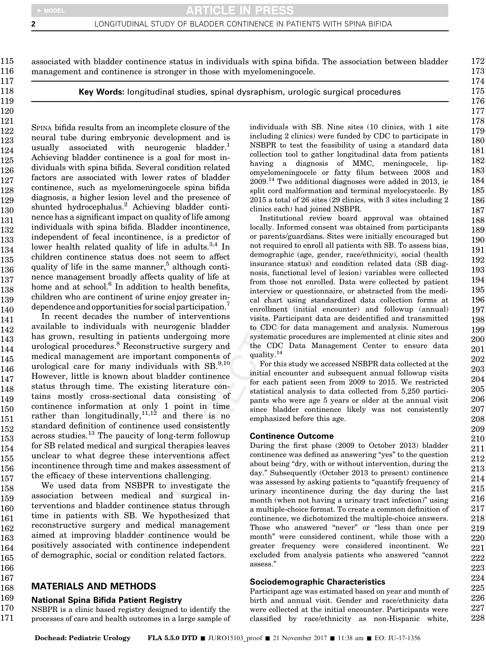166 167

associated with bladder continence status in individuals with spina bifida. The association between bladder management and continence is stronger in those with myelomeningocele.

Key Words: longitudinal studies, spinal dysraphism, urologic surgical procedures

SPINA bifida results from an incomplete closure of the neural tube during embryonic development and is usually associated with neurogenic bladder.<sup>1</sup> Achieving bladder continence is a goal for most individuals with spina bifida. Several condition related factors are associated with lower rates of bladder continence, such as myelomeningocele spina bifida diagnosis, a higher lesion level and the presence of shunted hydrocephalus.<sup>2</sup> Achieving bladder continence has a significant impact on quality of life among individuals with spina bifida. Bladder incontinence, independent of fecal incontinence, is a predictor of lower health related quality of life in adults.<sup>3,4</sup> In children continence status does not seem to affect quality of life in the same manner, $5$  although continence management broadly affects quality of life at home and at school.<sup>6</sup> In addition to health benefits, children who are continent of urine enjoy greater independence and opportunities for social participation.<sup>7</sup>

In recent decades the number of interventions available to individuals with neurogenic bladder has grown, resulting in patients undergoing more urological procedures.<sup>8</sup> Reconstructive surgery and medical management are important components of urological care for many individuals with  $SB^{9,10}$ However, little is known about bladder continence status through time. The existing literature contains mostly cross-sectional data consisting of continence information at only 1 point in time rather than longitudinally,  $11,12$  and there is no standard definition of continence used consistently across studies.<sup>13</sup> The paucity of long-term followup for SB related medical and surgical therapies leaves unclear to what degree these interventions affect incontinence through time and makes assessment of the efficacy of these interventions challenging. 146 147 148 149 150 151 152 153 154 155 156 157

We used data from NSBPR to investigate the association between medical and surgical interventions and bladder continence status through time in patients with SB. We hypothesized that reconstructive surgery and medical management aimed at improving bladder continence would be positively associated with continence independent of demographic, social or condition related factors. 158 159 160 161 162 163 164 165

#### MATERIALS AND METHODS 168

#### National Spina Bifida Patient Registry 169

NSBPR is a clinic based registry designed to identify the processes of care and health outcomes in a large sample of 170 171

individuals with SB. Nine sites (10 clinics, with 1 site including 2 clinics) were funded by CDC to participate in NSBPR to test the feasibility of using a standard data collection tool to gather longitudinal data from patients having a diagnosis of MMC, meningocele, lipomyelomeningocele or fatty filum between 2008 and 2009.14 Two additional diagnoses were added in 2013, ie split cord malformation and terminal myelocystocele. By 2015 a total of 26 sites (29 clinics, with 3 sites including 2 clinics each) had joined NSBPR.

Institutional review board approval was obtained locally. Informed consent was obtained from participants or parents/guardians. Sites were initially encouraged but not required to enroll all patients with SB. To assess bias, demographic (age, gender, race/ethnicity), social (health insurance status) and condition related data (SB diagnosis, functional level of lesion) variables were collected from those not enrolled. Data were collected by patient interview or questionnaire, or abstracted from the medical chart using standardized data collection forms at enrollment (initial encounter) and followup (annual) visits. Participant data are deidentified and transmitted to CDC for data management and analysis. Numerous systematic procedures are implemented at clinic sites and the CDC Data Management Center to ensure data quality.14

For this study we accessed NSBPR data collected at the initial encounter and subsequent annual followup visits for each patient seen from 2009 to 2015. We restricted statistical analysis to data collected from 5,250 participants who were age 5 years or older at the annual visit since bladder continence likely was not consistently emphasized before this age.

## Continence Outcome

During the first phase (2009 to October 2013) bladder continence was defined as answering "yes" to the question about being "dry, with or without intervention, during the day." Subsequently (October 2013 to present) continence was assessed by asking patients to "quantify frequency of urinary incontinence during the day during the last month (when not having a urinary tract infection)" using a multiple-choice format. To create a common definition of continence, we dichotomized the multiple-choice answers. Those who answered "never" or "less than once per month" were considered continent, while those with a greater frequency were considered incontinent. We excluded from analysis patients who answered "cannot assess."

### Sociodemographic Characteristics

Participant age was estimated based on year and month of birth and annual visit. Gender and race/ethnicity data were collected at the initial encounter. Participants were classified by race/ethnicity as non-Hispanic white,